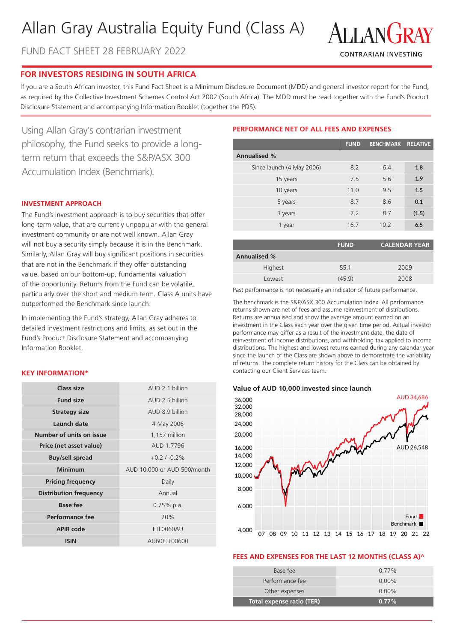# Allan Gray Australia Equity Fund (Class A)

FUND FACT SHEET 28 FEBRUARY 2022



# **FOR INVESTORS RESIDING IN SOUTH AFRICA**

If you are a South African investor, this Fund Fact Sheet is a Minimum Disclosure Document (MDD) and general investor report for the Fund, as required by the Collective Investment Schemes Control Act 2002 (South Africa). The MDD must be read together with the Fund's Product Disclosure Statement and accompanying Information Booklet (together the PDS).

Using Allan Gray's contrarian investment philosophy, the Fund seeks to provide a longterm return that exceeds the S&P/ASX 300 Accumulation Index (Benchmark).

#### **INVESTMENT APPROACH**

The Fund's investment approach is to buy securities that offer long-term value, that are currently unpopular with the general investment community or are not well known. Allan Gray will not buy a security simply because it is in the Benchmark. Similarly, Allan Gray will buy significant positions in securities that are not in the Benchmark if they offer outstanding value, based on our bottom-up, fundamental valuation of the opportunity. Returns from the Fund can be volatile, particularly over the short and medium term. Class A units have outperformed the Benchmark since launch.

In implementing the Fund's strategy, Allan Gray adheres to detailed investment restrictions and limits, as set out in the Fund's Product Disclosure Statement and accompanying Information Booklet.

#### **KEY INFORMATION\***

| Class size                    | AUD 2.1 billion             |  |  |
|-------------------------------|-----------------------------|--|--|
| <b>Fund size</b>              | AUD 2.5 billion             |  |  |
| <b>Strategy size</b>          | AUD 8.9 billion             |  |  |
| Launch date                   | 4 May 2006                  |  |  |
| Number of units on issue      | 1,157 million               |  |  |
| Price (net asset value)       | AUD 1.7796                  |  |  |
| <b>Buy/sell spread</b>        | $+0.2/ -0.2\%$              |  |  |
|                               |                             |  |  |
| Minimum                       | AUD 10,000 or AUD 500/month |  |  |
| <b>Pricing frequency</b>      | Daily                       |  |  |
| <b>Distribution frequency</b> | Annual                      |  |  |
| <b>Base fee</b>               | $0.75\%$ p.a.               |  |  |
| Performance fee               | 20%                         |  |  |
| <b>APIR code</b>              | ETL0060AU                   |  |  |

## **PERFORMANCE NET OF ALL FEES AND EXPENSES**

|                           | <b>FUND</b> | <b>BENCHMARK RELATIVE</b> |       |
|---------------------------|-------------|---------------------------|-------|
| <b>Annualised %</b>       |             |                           |       |
| Since launch (4 May 2006) | 8.2         | 6.4                       | 1.8   |
| 15 years                  | 7.5         | 5.6                       | 1.9   |
| 10 years                  | 11.0        | 9.5                       | 1.5   |
| 5 years                   | 8.7         | 8.6                       | 0.1   |
| 3 years                   | 7.2         | 8.7                       | (1.5) |
| 1 year                    | 16.7        | 10.2                      | 6.5   |

|                     | <b>FUND</b> | <b>CALENDAR YEAR</b> |  |
|---------------------|-------------|----------------------|--|
| <b>Annualised %</b> |             |                      |  |
| Highest             | 55.1        | 2009                 |  |
| Lowest              | (45.9)      | 2008                 |  |

Past performance is not necessarily an indicator of future performance.

The benchmark is the S&P/ASX 300 Accumulation Index. All performance returns shown are net of fees and assume reinvestment of distributions. Returns are annualised and show the average amount earned on an investment in the Class each year over the given time period. Actual investor performance may differ as a result of the investment date, the date of reinvestment of income distributions, and withholding tax applied to income distributions. The highest and lowest returns earned during any calendar year since the launch of the Class are shown above to demonstrate the variability of returns. The complete return history for the Class can be obtained by contacting our Client Services team.





#### **FEES AND EXPENSES FOR THE LAST 12 MONTHS (CLASS A)^**

| Base fee                  | $0.77\%$ |
|---------------------------|----------|
| Performance fee           | $0.00\%$ |
| Other expenses            | $0.00\%$ |
| Total expense ratio (TER) | $0.77\%$ |